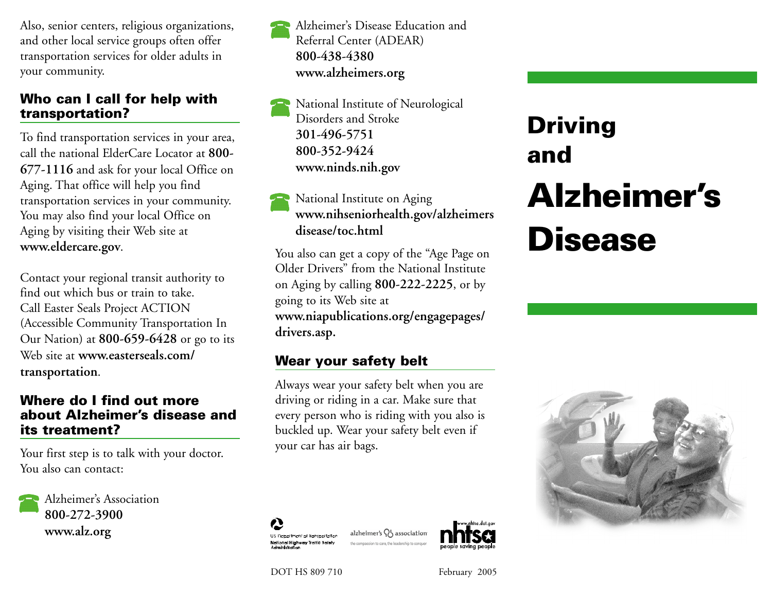Also, senior centers, religious organizations, and other local service groups often offer transportation services for older adults in your community.

#### Who can I call for help with tran sportation?

To find transportation services in your area, call the national ElderCare Locator at **800- 677-1116** and ask for your local Office on Aging. That office will help you find transportation services in your community. You may also find your local Office on Aging by visiting their Web site at **www.eldercare.gov**.

Contact your regional transit authority to find out which bus or train to take. Call Easter Seals Project ACTION (Accessible Community Transportation In Our Nation) at **800-659-6428** or go to its Web site at **www.easterseals.com/ transportation**.

#### Where do I find out more about Alzheimer's disease and its treatment?

Your first step is to talk with your doctor. You also can contact:

Alzheimer's Association **800-272-3900 www.alz.org**

Alzheimer's Disease Education and Referral Center (ADEAR) **800-438-4380 www.alzheimers.org**

National Institute of Neurological Disorders and Stroke **301-496-5751 800-352-9424 www.ninds.nih.gov**

# National Institute on Aging **www.nihseniorhealth.gov/alzheimers disease/toc.html**

You also can get a copy of the "Age Page on Older Drivers" from the National Institute on Aging by calling **800-222-2225**, or by going to its Web site at **www.niapublications.org/engagepages/ drivers.asp.**

# Wear your safety belt

Always wear your safety belt when you are driving or riding in a car. Make sure that every person who is riding with you also is buckled up. Wear your safety belt even if your car has air bags.



DOT HS 809 710 February 2005

US Department of Iransportation National Highway Traffic Safety

# Driving and Alzheimer's **Disease**